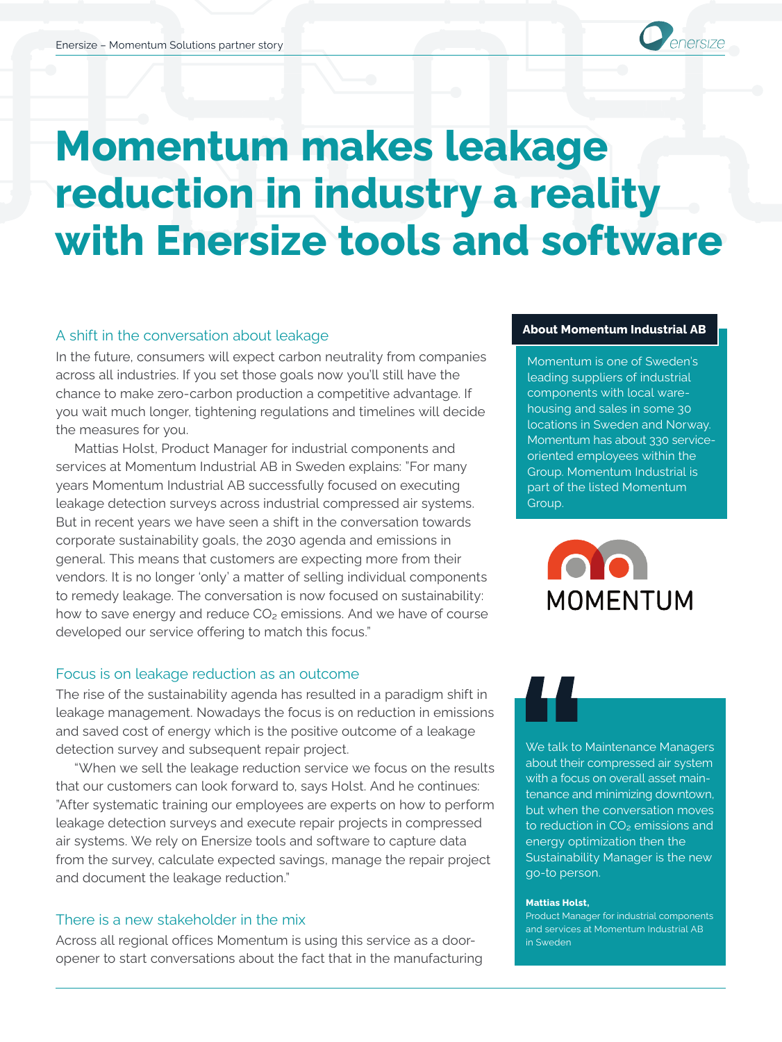

# **Momentum makes leakage reduction in industry a reality with Enersize tools and software**

# A shift in the conversation about leakage

In the future, consumers will expect carbon neutrality from companies across all industries. If you set those goals now you'll still have the chance to make zero-carbon production a competitive advantage. If you wait much longer, tightening regulations and timelines will decide the measures for you.

Mattias Holst, Product Manager for industrial components and services at Momentum Industrial AB in Sweden explains: "For many years Momentum Industrial AB successfully focused on executing leakage detection surveys across industrial compressed air systems. But in recent years we have seen a shift in the conversation towards corporate sustainability goals, the 2030 agenda and emissions in general. This means that customers are expecting more from their vendors. It is no longer 'only' a matter of selling individual components to remedy leakage. The conversation is now focused on sustainability: how to save energy and reduce  $CO<sub>2</sub>$  emissions. And we have of course developed our service offering to match this focus."

# Focus is on leakage reduction as an outcome

The rise of the sustainability agenda has resulted in a paradigm shift in leakage management. Nowadays the focus is on reduction in emissions and saved cost of energy which is the positive outcome of a leakage detection survey and subsequent repair project.

"When we sell the leakage reduction service we focus on the results that our customers can look forward to, says Holst. And he continues: "After systematic training our employees are experts on how to perform leakage detection surveys and execute repair projects in compressed air systems. We rely on Enersize tools and software to capture data from the survey, calculate expected savings, manage the repair project and document the leakage reduction."

# There is a new stakeholder in the mix

Across all regional offices Momentum is using this service as a dooropener to start conversations about the fact that in the manufacturing

#### **About Momentum Industrial AB**

Momentum is one of Sweden's leading suppliers of industrial components with local warehousing and sales in some 30 locations in Sweden and Norway. Momentum has about 330 serviceoriented employees within the Group. Momentum Industrial is part of the listed Momentum Group.



We talk to Maintenance Managers about their compressed air system with a focus on overall asset maintenance and minimizing downtown, but when the conversation moves to reduction in CO<sub>2</sub> emissions and energy optimization then the Sustainability Manager is the new go-to person.

#### **Mattias Holst,**

Product Manager for industrial components and services at Momentum Industrial AB in Sweden